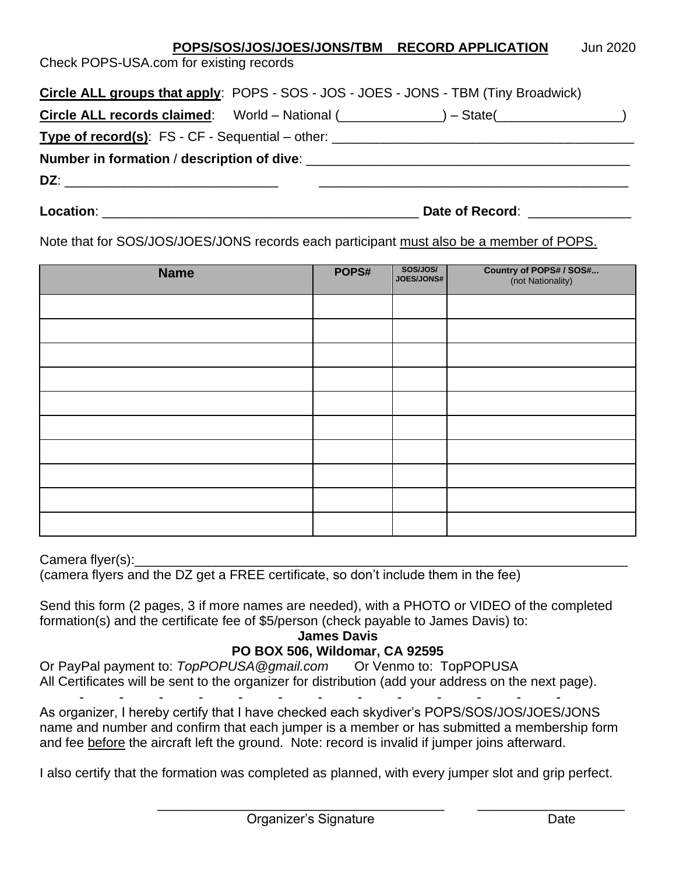|                                                                                   |  |  | POPS/SOS/JOS/JOES/JONS/TBM RECORD APPLICATION                                              | Jun 2020 |  |
|-----------------------------------------------------------------------------------|--|--|--------------------------------------------------------------------------------------------|----------|--|
| Check POPS-USA.com for existing records                                           |  |  |                                                                                            |          |  |
|                                                                                   |  |  |                                                                                            |          |  |
|                                                                                   |  |  | <b>Circle ALL groups that apply: POPS - SOS - JOS - JOES - JONS - TBM (Tiny Broadwick)</b> |          |  |
|                                                                                   |  |  | Circle ALL records claimed: $World - National (________) - State (________)$               |          |  |
| Type of record(s): FS - CF - Sequential – other: ________________________________ |  |  |                                                                                            |          |  |
| Number in formation / description of dive:                                        |  |  |                                                                                            |          |  |
|                                                                                   |  |  |                                                                                            |          |  |
|                                                                                   |  |  |                                                                                            |          |  |

**Location**: \_\_\_\_\_\_\_\_\_\_\_\_\_\_\_\_\_\_\_\_\_\_\_\_\_\_\_\_\_\_\_\_\_\_\_\_\_\_\_\_\_\_\_ **Date of Record**: \_\_\_\_\_\_\_\_\_\_\_\_\_\_

Note that for SOS/JOS/JOES/JONS records each participant must also be a member of POPS.

| <b>Name</b> | POPS# | SOS/JOS/<br>JOES/JONS# | <b>Country of POPS# / SOS#</b><br>(not Nationality) |
|-------------|-------|------------------------|-----------------------------------------------------|
|             |       |                        |                                                     |
|             |       |                        |                                                     |
|             |       |                        |                                                     |
|             |       |                        |                                                     |
|             |       |                        |                                                     |
|             |       |                        |                                                     |
|             |       |                        |                                                     |
|             |       |                        |                                                     |
|             |       |                        |                                                     |
|             |       |                        |                                                     |

Camera flyer(s):

(camera flyers and the DZ get a FREE certificate, so don't include them in the fee)

Send this form (2 pages, 3 if more names are needed), with a PHOTO or VIDEO of the completed formation(s) and the certificate fee of \$5/person (check payable to James Davis) to:

**James Davis**

# **PO BOX 506, Wildomar, CA 92595**

Or PayPal payment to: *TopPOPUSA@gmail.com* Or Venmo to: TopPOPUSA All Certificates will be sent to the organizer for distribution (add your address on the next page).

- - - - - - - - - - - - - As organizer, I hereby certify that I have checked each skydiver's POPS/SOS/JOS/JOES/JONS name and number and confirm that each jumper is a member or has submitted a membership form and fee before the aircraft left the ground. Note: record is invalid if jumper joins afterward.

I also certify that the formation was completed as planned, with every jumper slot and grip perfect.

 $\overline{\phantom{a}}$  ,  $\overline{\phantom{a}}$  ,  $\overline{\phantom{a}}$  ,  $\overline{\phantom{a}}$  ,  $\overline{\phantom{a}}$  ,  $\overline{\phantom{a}}$  ,  $\overline{\phantom{a}}$  ,  $\overline{\phantom{a}}$  ,  $\overline{\phantom{a}}$  ,  $\overline{\phantom{a}}$  ,  $\overline{\phantom{a}}$  ,  $\overline{\phantom{a}}$  ,  $\overline{\phantom{a}}$  ,  $\overline{\phantom{a}}$  ,  $\overline{\phantom{a}}$  ,  $\overline{\phantom{a}}$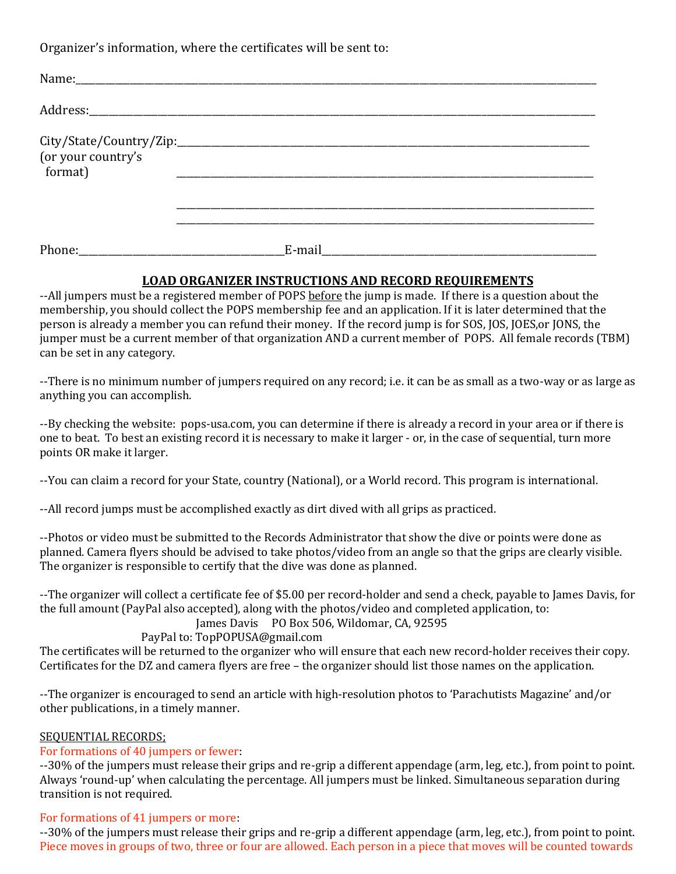Organizer's information, where the certificates will be sent to:

| (or your country's<br>format) |        |  |
|-------------------------------|--------|--|
|                               | E-mail |  |

### **LOAD ORGANIZER INSTRUCTIONS AND RECORD REQUIREMENTS**

--All jumpers must be a registered member of POPS before the jump is made. If there is a question about the membership, you should collect the POPS membership fee and an application. If it is later determined that the person is already a member you can refund their money. If the record jump is for SOS, JOS, JOES,or JONS, the jumper must be a current member of that organization AND a current member of POPS. All female records (TBM) can be set in any category.

--There is no minimum number of jumpers required on any record; i.e. it can be as small as a two-way or as large as anything you can accomplish.

--By checking the website: pops-usa.com, you can determine if there is already a record in your area or if there is one to beat. To best an existing record it is necessary to make it larger - or, in the case of sequential, turn more points OR make it larger.

--You can claim a record for your State, country (National), or a World record. This program is international.

--All record jumps must be accomplished exactly as dirt dived with all grips as practiced.

--Photos or video must be submitted to the Records Administrator that show the dive or points were done as planned. Camera flyers should be advised to take photos/video from an angle so that the grips are clearly visible. The organizer is responsible to certify that the dive was done as planned.

--The organizer will collect a certificate fee of \$5.00 per record-holder and send a check, payable to James Davis, for the full amount (PayPal also accepted), along with the photos/video and completed application, to:

James Davis PO Box 506, Wildomar, CA, 92595

#### PayPal to: TopPOPUSA@gmail.com

The certificates will be returned to the organizer who will ensure that each new record-holder receives their copy. Certificates for the DZ and camera flyers are free – the organizer should list those names on the application.

--The organizer is encouraged to send an article with high-resolution photos to 'Parachutists Magazine' and/or other publications, in a timely manner.

#### SEQUENTIAL RECORDS;

#### For formations of 40 jumpers or fewer:

--30% of the jumpers must release their grips and re-grip a different appendage (arm, leg, etc.), from point to point. Always 'round-up' when calculating the percentage. All jumpers must be linked. Simultaneous separation during transition is not required.

## For formations of 41 jumpers or more:

--30% of the jumpers must release their grips and re-grip a different appendage (arm, leg, etc.), from point to point. Piece moves in groups of two, three or four are allowed. Each person in a piece that moves will be counted towards